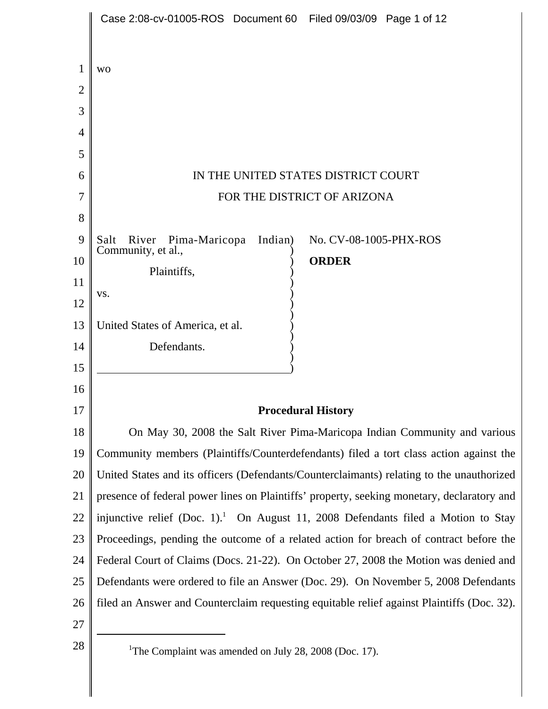|        | Case 2:08-cv-01005-ROS Document 60 Filed 09/03/09 Page 1 of 12                             |
|--------|--------------------------------------------------------------------------------------------|
|        |                                                                                            |
| 1      | <b>WO</b>                                                                                  |
| 2      |                                                                                            |
| 3      |                                                                                            |
| 4<br>5 |                                                                                            |
| 6      | IN THE UNITED STATES DISTRICT COURT                                                        |
| 7      | FOR THE DISTRICT OF ARIZONA                                                                |
| 8      |                                                                                            |
| 9      | River<br>Pima-Maricopa<br>Indian)<br>No. CV-08-1005-PHX-ROS<br>Salt                        |
| 10     | Community, et al.,<br><b>ORDER</b>                                                         |
| 11     | Plaintiffs,                                                                                |
| 12     | VS.                                                                                        |
| 13     | United States of America, et al.                                                           |
| 14     | Defendants.                                                                                |
| 15     |                                                                                            |
| 16     |                                                                                            |
| 17     | <b>Procedural History</b>                                                                  |
| 18     | On May 30, 2008 the Salt River Pima-Maricopa Indian Community and various                  |
| 19     | Community members (Plaintiffs/Counterdefendants) filed a tort class action against the     |
| 20     | United States and its officers (Defendants/Counterclaimants) relating to the unauthorized  |
| 21     | presence of federal power lines on Plaintiffs' property, seeking monetary, declaratory and |
| 22     | injunctive relief (Doc. 1). On August 11, 2008 Defendants filed a Motion to Stay           |
| 23     | Proceedings, pending the outcome of a related action for breach of contract before the     |
| 24     | Federal Court of Claims (Docs. 21-22). On October 27, 2008 the Motion was denied and       |
| 25     | Defendants were ordered to file an Answer (Doc. 29). On November 5, 2008 Defendants        |
| 26     | filed an Answer and Counterclaim requesting equitable relief against Plaintiffs (Doc. 32). |
| 27     |                                                                                            |
| 28     | <sup>1</sup> The Complaint was amended on July 28, 2008 (Doc. 17).                         |
|        |                                                                                            |
|        |                                                                                            |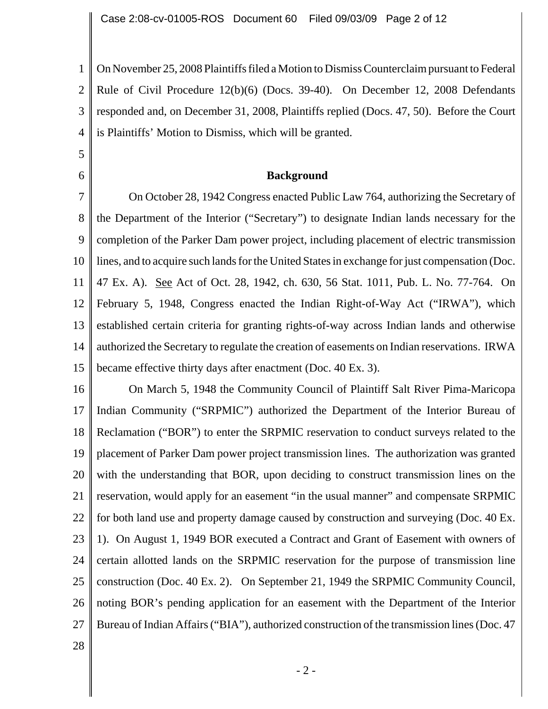1 2 3 4 On November 25, 2008 Plaintiffs filed a Motion to Dismiss Counterclaim pursuant to Federal Rule of Civil Procedure 12(b)(6) (Docs. 39-40). On December 12, 2008 Defendants responded and, on December 31, 2008, Plaintiffs replied (Docs. 47, 50). Before the Court is Plaintiffs' Motion to Dismiss, which will be granted.

### **Background**

7 8 9 10 11 12 13 14 15 On October 28, 1942 Congress enacted Public Law 764, authorizing the Secretary of the Department of the Interior ("Secretary") to designate Indian lands necessary for the completion of the Parker Dam power project, including placement of electric transmission lines, and to acquire such lands for the United States in exchange for just compensation (Doc. 47 Ex. A). See Act of Oct. 28, 1942, ch. 630, 56 Stat. 1011, Pub. L. No. 77-764. On February 5, 1948, Congress enacted the Indian Right-of-Way Act ("IRWA"), which established certain criteria for granting rights-of-way across Indian lands and otherwise authorized the Secretary to regulate the creation of easements on Indian reservations. IRWA became effective thirty days after enactment (Doc. 40 Ex. 3).

16 17 18 19 20 21 22 23 24 25 26 27 On March 5, 1948 the Community Council of Plaintiff Salt River Pima-Maricopa Indian Community ("SRPMIC") authorized the Department of the Interior Bureau of Reclamation ("BOR") to enter the SRPMIC reservation to conduct surveys related to the placement of Parker Dam power project transmission lines. The authorization was granted with the understanding that BOR, upon deciding to construct transmission lines on the reservation, would apply for an easement "in the usual manner" and compensate SRPMIC for both land use and property damage caused by construction and surveying (Doc. 40 Ex. 1). On August 1, 1949 BOR executed a Contract and Grant of Easement with owners of certain allotted lands on the SRPMIC reservation for the purpose of transmission line construction (Doc. 40 Ex. 2). On September 21, 1949 the SRPMIC Community Council, noting BOR's pending application for an easement with the Department of the Interior Bureau of Indian Affairs ("BIA"), authorized construction of the transmission lines (Doc. 47

28

5

6

- 2 -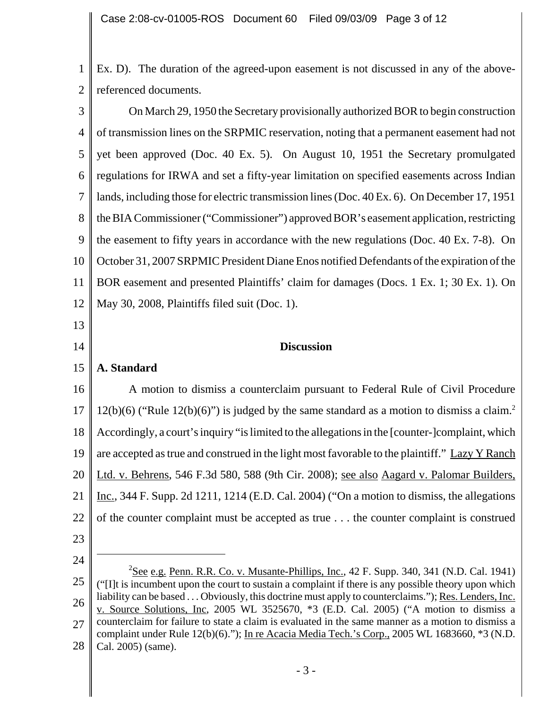1 2 Ex. D). The duration of the agreed-upon easement is not discussed in any of the abovereferenced documents.

3 4 5 6 7 8 9 10 11 12 On March 29, 1950 the Secretary provisionally authorized BOR to begin construction of transmission lines on the SRPMIC reservation, noting that a permanent easement had not yet been approved (Doc. 40 Ex. 5). On August 10, 1951 the Secretary promulgated regulations for IRWA and set a fifty-year limitation on specified easements across Indian lands, including those for electric transmission lines (Doc. 40 Ex. 6). On December 17, 1951 the BIA Commissioner ("Commissioner") approved BOR's easement application, restricting the easement to fifty years in accordance with the new regulations (Doc. 40 Ex. 7-8). On October 31, 2007 SRPMIC President Diane Enos notified Defendants of the expiration of the BOR easement and presented Plaintiffs' claim for damages (Docs. 1 Ex. 1; 30 Ex. 1). On May 30, 2008, Plaintiffs filed suit (Doc. 1).

**Discussion**

### 15 **A. Standard**

16 17 18 19 20 21 22 A motion to dismiss a counterclaim pursuant to Federal Rule of Civil Procedure 12(b)(6) ("Rule 12(b)(6)") is judged by the same standard as a motion to dismiss a claim.<sup>2</sup> Accordingly, a court's inquiry "is limited to the allegations in the [counter-]complaint, which are accepted as true and construed in the light most favorable to the plaintiff." Lazy Y Ranch Ltd. v. Behrens, 546 F.3d 580, 588 (9th Cir. 2008); see also Aagard v. Palomar Builders, Inc., 344 F. Supp. 2d 1211, 1214 (E.D. Cal. 2004) ("On a motion to dismiss, the allegations of the counter complaint must be accepted as true . . . the counter complaint is construed

23

13

14

<sup>25</sup> 26 27 28  $2$ See e.g. Penn. R.R. Co. v. Musante-Phillips, Inc., 42 F. Supp. 340, 341 (N.D. Cal. 1941) ("[I]t is incumbent upon the court to sustain a complaint if there is any possible theory upon which liability can be based . . . Obviously, this doctrine must apply to counterclaims."); Res. Lenders, Inc. v. Source Solutions, Inc, 2005 WL 3525670, \*3 (E.D. Cal. 2005) ("A motion to dismiss a counterclaim for failure to state a claim is evaluated in the same manner as a motion to dismiss a complaint under Rule 12(b)(6)."); In re Acacia Media Tech.'s Corp., 2005 WL 1683660, \*3 (N.D. Cal. 2005) (same).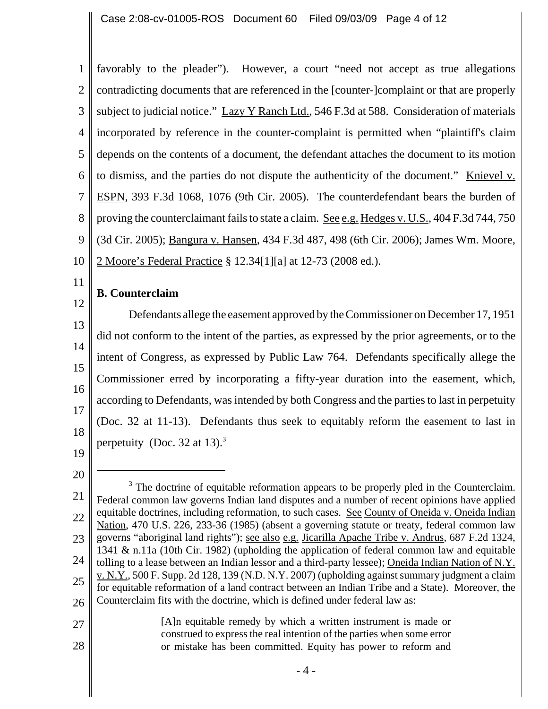1 2 3 4 5 6 7 8 9 10 favorably to the pleader"). However, a court "need not accept as true allegations contradicting documents that are referenced in the [counter-]complaint or that are properly subject to judicial notice." Lazy Y Ranch Ltd., 546 F.3d at 588. Consideration of materials incorporated by reference in the counter-complaint is permitted when "plaintiff's claim depends on the contents of a document, the defendant attaches the document to its motion to dismiss, and the parties do not dispute the authenticity of the document." Knievel v. ESPN, 393 F.3d 1068, 1076 (9th Cir. 2005). The counterdefendant bears the burden of proving the counterclaimant fails to state a claim. See e.g. Hedges v. U.S., 404 F.3d 744, 750 (3d Cir. 2005); Bangura v. Hansen, 434 F.3d 487, 498 (6th Cir. 2006); James Wm. Moore, 2 Moore's Federal Practice § 12.34[1][a] at 12-73 (2008 ed.).

# **B. Counterclaim**

12 13 14 15 16 17 18 Defendants allege the easement approved by the Commissioner on December 17, 1951 did not conform to the intent of the parties, as expressed by the prior agreements, or to the intent of Congress, as expressed by Public Law 764. Defendants specifically allege the Commissioner erred by incorporating a fifty-year duration into the easement, which, according to Defendants, was intended by both Congress and the parties to last in perpetuity (Doc. 32 at 11-13). Defendants thus seek to equitably reform the easement to last in perpetuity (Doc. 32 at 13).<sup>3</sup>

19 20

27

28

11

[A]n equitable remedy by which a written instrument is made or construed to express the real intention of the parties when some error or mistake has been committed. Equity has power to reform and

<sup>21</sup> 22 23 24 25 26  $3$  The doctrine of equitable reformation appears to be properly pled in the Counterclaim. Federal common law governs Indian land disputes and a number of recent opinions have applied equitable doctrines, including reformation, to such cases. See County of Oneida v. Oneida Indian Nation, 470 U.S. 226, 233-36 (1985) (absent a governing statute or treaty, federal common law governs "aboriginal land rights"); see also e.g. Jicarilla Apache Tribe v. Andrus, 687 F.2d 1324, 1341 & n.11a (10th Cir. 1982) (upholding the application of federal common law and equitable tolling to a lease between an Indian lessor and a third-party lessee); Oneida Indian Nation of N.Y. v. N.Y., 500 F. Supp. 2d 128, 139 (N.D. N.Y. 2007) (upholding against summary judgment a claim for equitable reformation of a land contract between an Indian Tribe and a State). Moreover, the Counterclaim fits with the doctrine, which is defined under federal law as: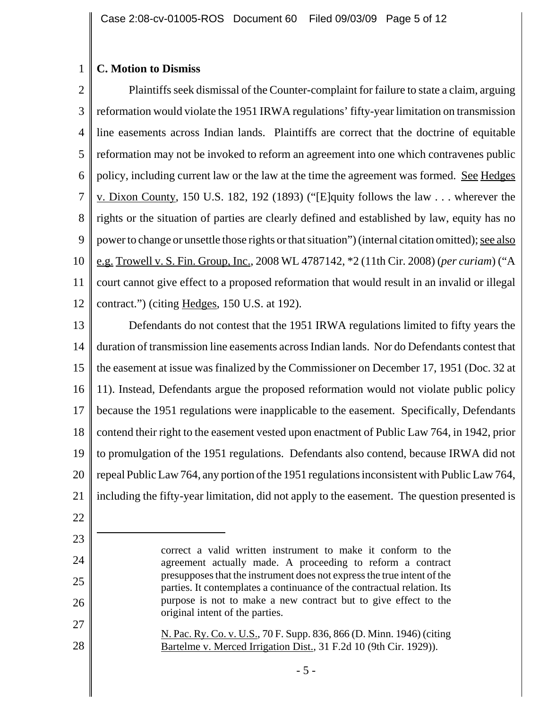#### 1 **C. Motion to Dismiss**

2 3 4 5 6 7 8 9 10 11 12 Plaintiffs seek dismissal of the Counter-complaint for failure to state a claim, arguing reformation would violate the 1951 IRWA regulations' fifty-year limitation on transmission line easements across Indian lands. Plaintiffs are correct that the doctrine of equitable reformation may not be invoked to reform an agreement into one which contravenes public policy, including current law or the law at the time the agreement was formed. See Hedges v. Dixon County, 150 U.S. 182, 192 (1893) ("[E]quity follows the law . . . wherever the rights or the situation of parties are clearly defined and established by law, equity has no power to change or unsettle those rights or that situation") (internal citation omitted); <u>see also</u> e.g. Trowell v. S. Fin. Group, Inc., 2008 WL 4787142, \*2 (11th Cir. 2008) (*per curiam*) ("A court cannot give effect to a proposed reformation that would result in an invalid or illegal contract.") (citing Hedges, 150 U.S. at 192).

13 14 15 16 17 18 19 20 21 Defendants do not contest that the 1951 IRWA regulations limited to fifty years the duration of transmission line easements across Indian lands. Nor do Defendants contest that the easement at issue was finalized by the Commissioner on December 17, 1951 (Doc. 32 at 11). Instead, Defendants argue the proposed reformation would not violate public policy because the 1951 regulations were inapplicable to the easement. Specifically, Defendants contend their right to the easement vested upon enactment of Public Law 764, in 1942, prior to promulgation of the 1951 regulations. Defendants also contend, because IRWA did not repeal Public Law 764, any portion of the 1951 regulations inconsistent with Public Law 764, including the fifty-year limitation, did not apply to the easement. The question presented is

24

25

26

27

28

N. Pac. Ry. Co. v. U.S., 70 F. Supp. 836, 866 (D. Minn. 1946) (citing Bartelme v. Merced Irrigation Dist., 31 F.2d 10 (9th Cir. 1929)).

<sup>22</sup> 23

correct a valid written instrument to make it conform to the agreement actually made. A proceeding to reform a contract presupposes that the instrument does not express the true intent of the parties. It contemplates a continuance of the contractual relation. Its purpose is not to make a new contract but to give effect to the original intent of the parties.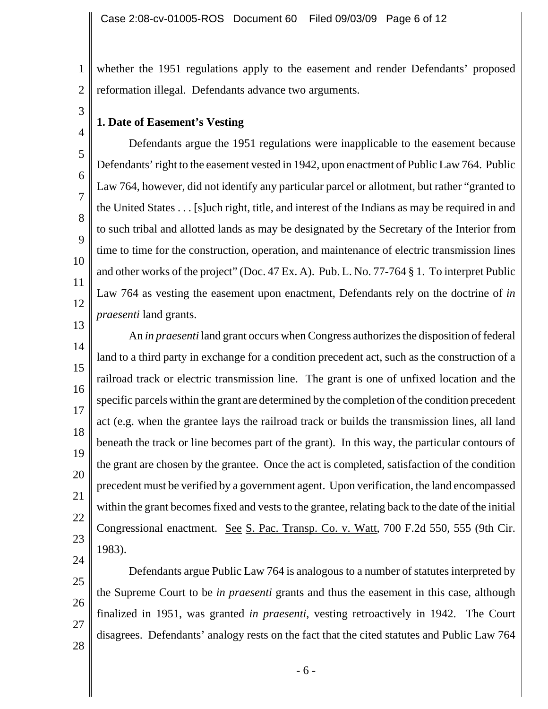1 2 whether the 1951 regulations apply to the easement and render Defendants' proposed reformation illegal. Defendants advance two arguments.

**1. Date of Easement's Vesting**

3

4

5

6

7

8

 $\overline{Q}$ 

10

11

12

13

25

26

27

28

Defendants argue the 1951 regulations were inapplicable to the easement because Defendants' right to the easement vested in 1942, upon enactment of Public Law 764. Public Law 764, however, did not identify any particular parcel or allotment, but rather "granted to the United States . . . [s]uch right, title, and interest of the Indians as may be required in and to such tribal and allotted lands as may be designated by the Secretary of the Interior from time to time for the construction, operation, and maintenance of electric transmission lines and other works of the project" (Doc. 47 Ex. A). Pub. L. No. 77-764 § 1. To interpret Public Law 764 as vesting the easement upon enactment, Defendants rely on the doctrine of *in praesenti* land grants.

14 15 16 17 18 19 20 21 22 23 24 An *in praesenti* land grant occurs when Congress authorizes the disposition of federal land to a third party in exchange for a condition precedent act, such as the construction of a railroad track or electric transmission line. The grant is one of unfixed location and the specific parcels within the grant are determined by the completion of the condition precedent act (e.g. when the grantee lays the railroad track or builds the transmission lines, all land beneath the track or line becomes part of the grant). In this way, the particular contours of the grant are chosen by the grantee. Once the act is completed, satisfaction of the condition precedent must be verified by a government agent. Upon verification, the land encompassed within the grant becomes fixed and vests to the grantee, relating back to the date of the initial Congressional enactment. See S. Pac. Transp. Co. v. Watt, 700 F.2d 550, 555 (9th Cir. 1983).

Defendants argue Public Law 764 is analogous to a number of statutes interpreted by the Supreme Court to be *in praesenti* grants and thus the easement in this case, although finalized in 1951, was granted *in praesenti*, vesting retroactively in 1942. The Court disagrees. Defendants' analogy rests on the fact that the cited statutes and Public Law 764

- 6 -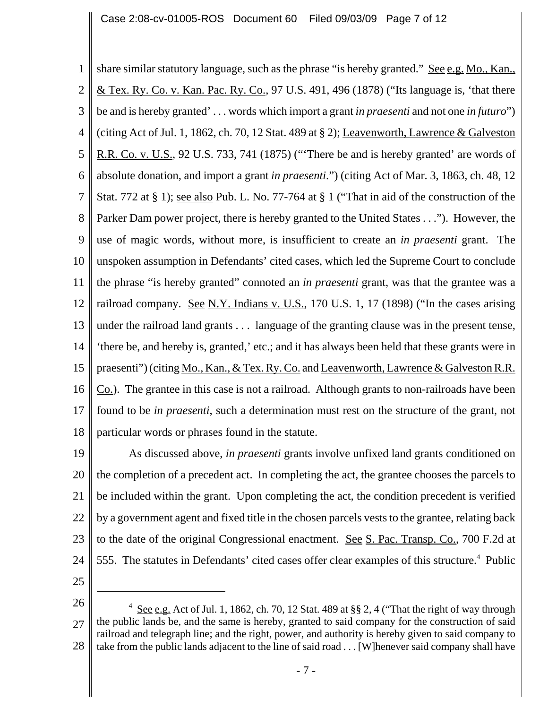1 2 3 4 5 6 7 8 9 10 11 12 13 14 15 16 17 18 share similar statutory language, such as the phrase "is hereby granted." See e.g. Mo., Kan., & Tex. Ry. Co. v. Kan. Pac. Ry. Co., 97 U.S. 491, 496 (1878) ("Its language is, 'that there be and is hereby granted' . . . words which import a grant *in praesenti* and not one *in futuro*") (citing Act of Jul. 1, 1862, ch. 70, 12 Stat. 489 at § 2); Leavenworth, Lawrence & Galveston R.R. Co. v. U.S., 92 U.S. 733, 741 (1875) ("'There be and is hereby granted' are words of absolute donation, and import a grant *in praesenti*.") (citing Act of Mar. 3, 1863, ch. 48, 12 Stat. 772 at § 1); see also Pub. L. No. 77-764 at § 1 ("That in aid of the construction of the Parker Dam power project, there is hereby granted to the United States . . ."). However, the use of magic words, without more, is insufficient to create an *in praesenti* grant. The unspoken assumption in Defendants' cited cases, which led the Supreme Court to conclude the phrase "is hereby granted" connoted an *in praesenti* grant, was that the grantee was a railroad company. See N.Y. Indians v. U.S., 170 U.S. 1, 17 (1898) ("In the cases arising under the railroad land grants . . . language of the granting clause was in the present tense, 'there be, and hereby is, granted,' etc.; and it has always been held that these grants were in praesenti") (citing Mo., Kan., & Tex. Ry. Co. and Leavenworth, Lawrence & Galveston R.R. Co.). The grantee in this case is not a railroad. Although grants to non-railroads have been found to be *in praesenti*, such a determination must rest on the structure of the grant, not particular words or phrases found in the statute.

19 20 21 22 23 24 As discussed above, *in praesenti* grants involve unfixed land grants conditioned on the completion of a precedent act. In completing the act, the grantee chooses the parcels to be included within the grant. Upon completing the act, the condition precedent is verified by a government agent and fixed title in the chosen parcels vests to the grantee, relating back to the date of the original Congressional enactment. See S. Pac. Transp. Co., 700 F.2d at 555. The statutes in Defendants' cited cases offer clear examples of this structure.<sup>4</sup> Public

<sup>26</sup> 27 28  $4 \text{ See } e.g.$  Act of Jul. 1, 1862, ch. 70, 12 Stat. 489 at §§ 2, 4 ("That the right of way through the public lands be, and the same is hereby, granted to said company for the construction of said railroad and telegraph line; and the right, power, and authority is hereby given to said company to take from the public lands adjacent to the line of said road . . . [W]henever said company shall have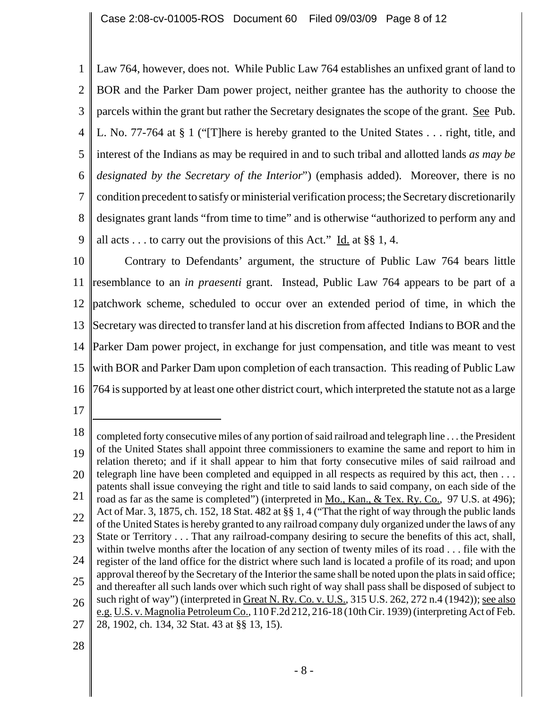1 2 3 4 5 6 7 8 9 Law 764, however, does not. While Public Law 764 establishes an unfixed grant of land to BOR and the Parker Dam power project, neither grantee has the authority to choose the parcels within the grant but rather the Secretary designates the scope of the grant. See Pub. L. No. 77-764 at § 1 ("[T]here is hereby granted to the United States . . . right, title, and interest of the Indians as may be required in and to such tribal and allotted lands *as may be designated by the Secretary of the Interior*") (emphasis added). Moreover, there is no condition precedent to satisfy or ministerial verification process; the Secretary discretionarily designates grant lands "from time to time" and is otherwise "authorized to perform any and all acts . . . to carry out the provisions of this Act." Id. at  $\S$  1, 4.

10 11 12 13 14 15 16 Contrary to Defendants' argument, the structure of Public Law 764 bears little resemblance to an *in praesenti* grant. Instead, Public Law 764 appears to be part of a patchwork scheme, scheduled to occur over an extended period of time, in which the Secretary was directed to transfer land at his discretion from affected Indians to BOR and the Parker Dam power project, in exchange for just compensation, and title was meant to vest with BOR and Parker Dam upon completion of each transaction. This reading of Public Law 764 is supported by at least one other district court, which interpreted the statute not as a large

17

<sup>18</sup> 19 20 21 22 23 24 25 26 27 completed forty consecutive miles of any portion of said railroad and telegraph line . . . the President of the United States shall appoint three commissioners to examine the same and report to him in relation thereto; and if it shall appear to him that forty consecutive miles of said railroad and telegraph line have been completed and equipped in all respects as required by this act, then . . . patents shall issue conveying the right and title to said lands to said company, on each side of the road as far as the same is completed") (interpreted in Mo., Kan., & Tex. Ry. Co., 97 U.S. at 496); Act of Mar. 3, 1875, ch. 152, 18 Stat. 482 at §§ 1, 4 ("That the right of way through the public lands of the United States is hereby granted to any railroad company duly organized under the laws of any State or Territory . . . That any railroad-company desiring to secure the benefits of this act, shall, within twelve months after the location of any section of twenty miles of its road . . . file with the register of the land office for the district where such land is located a profile of its road; and upon approval thereof by the Secretary of the Interior the same shall be noted upon the plats in said office; and thereafter all such lands over which such right of way shall pass shall be disposed of subject to such right of way") (interpreted in Great N. Ry. Co. v. U.S., 315 U.S. 262, 272 n.4 (1942)); see also e.g. U.S. v. Magnolia Petroleum Co., 110 F.2d 212, 216-18 (10th Cir. 1939) (interpreting Act of Feb. 28, 1902, ch. 134, 32 Stat. 43 at §§ 13, 15).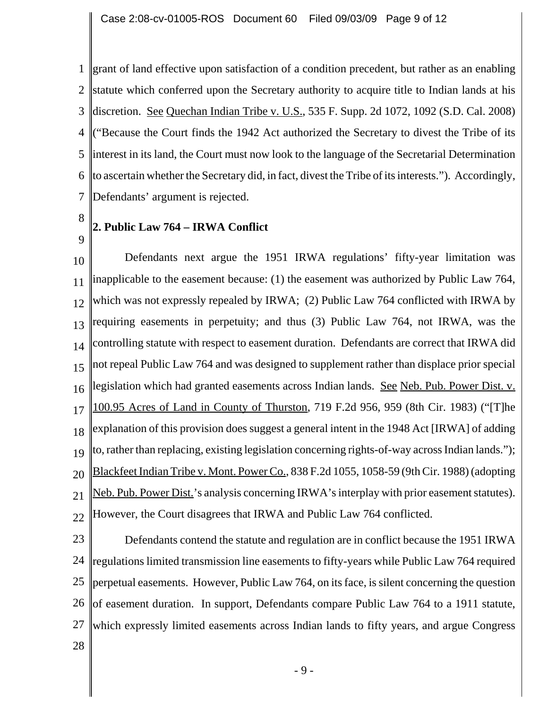1 grant of land effective upon satisfaction of a condition precedent, but rather as an enabling 2 3 4 5 6 7 statute which conferred upon the Secretary authority to acquire title to Indian lands at his discretion. <u>See Quechan Indian Tribe v. U.S.</u>, 535 F. Supp. 2d 1072, 1092 (S.D. Cal. 2008) ("Because the Court finds the 1942 Act authorized the Secretary to divest the Tribe of its interest in its land, the Court must now look to the language of the Secretarial Determination to ascertain whether the Secretary did, in fact, divest the Tribe of its interests."). Accordingly, Defendants' argument is rejected.

8

9

## **2. Public Law 764 – IRWA Conflict**

10 11 12 13 14 15 16 17 18 19 20 21 22 Defendants next argue the 1951 IRWA regulations' fifty-year limitation was inapplicable to the easement because: (1) the easement was authorized by Public Law 764, which was not expressly repealed by IRWA; (2) Public Law 764 conflicted with IRWA by requiring easements in perpetuity; and thus (3) Public Law 764, not IRWA, was the controlling statute with respect to easement duration. Defendants are correct that IRWA did not repeal Public Law 764 and was designed to supplement rather than displace prior special legislation which had granted easements across Indian lands. See Neb. Pub. Power Dist. v. 100.95 Acres of Land in County of Thurston, 719 F.2d 956, 959 (8th Cir. 1983) ("[T]he explanation of this provision does suggest a general intent in the 1948 Act [IRWA] of adding to, rather than replacing, existing legislation concerning rights-of-way across Indian lands."); Blackfeet Indian Tribe v. Mont. Power Co., 838 F.2d 1055, 1058-59 (9th Cir. 1988) (adopting Neb. Pub. Power Dist.'s analysis concerning IRWA's interplay with prior easement statutes). However, the Court disagrees that IRWA and Public Law 764 conflicted.

23 24 25 26 of easement duration. In support, Defendants compare Public Law 764 to a 1911 statute, 27 28 Defendants contend the statute and regulation are in conflict because the 1951 IRWA regulations limited transmission line easements to fifty-years while Public Law 764 required perpetual easements. However, Public Law 764, on its face, is silent concerning the question which expressly limited easements across Indian lands to fifty years, and argue Congress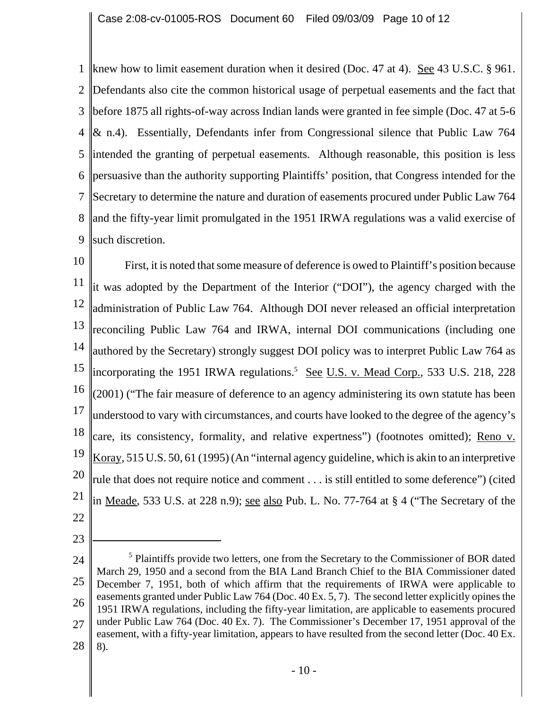1 knew how to limit easement duration when it desired (Doc. 47 at 4). See 43 U.S.C. § 961. 2 3 4 5 6 7 8 9 Defendants also cite the common historical usage of perpetual easements and the fact that before 1875 all rights-of-way across Indian lands were granted in fee simple (Doc. 47 at 5-6 & n.4). Essentially, Defendants infer from Congressional silence that Public Law 764 intended the granting of perpetual easements. Although reasonable, this position is less persuasive than the authority supporting Plaintiffs' position, that Congress intended for the Secretary to determine the nature and duration of easements procured under Public Law 764 and the fifty-year limit promulgated in the 1951 IRWA regulations was a valid exercise of such discretion.

10 11 12 13 14 15 16 17 18 19 20 21 22 First, it is noted that some measure of deference is owed to Plaintiff's position because it was adopted by the Department of the Interior ("DOI"), the agency charged with the administration of Public Law 764. Although DOI never released an official interpretation reconciling Public Law 764 and IRWA, internal DOI communications (including one authored by the Secretary) strongly suggest DOI policy was to interpret Public Law 764 as incorporating the 1951 IRWA regulations.<sup>5</sup> See U.S. v. Mead Corp., 533 U.S. 218, 228  $\parallel$ (2001) ("The fair measure of deference to an agency administering its own statute has been understood to vary with circumstances, and courts have looked to the degree of the agency's care, its consistency, formality, and relative expertness") (footnotes omitted); Reno v. Koray, 515 U.S. 50, 61 (1995) (An "internal agency guideline, which is akin to an interpretive rule that does not require notice and comment . . . is still entitled to some deference") (cited in Meade, 533 U.S. at 228 n.9); see also Pub. L. No. 77-764 at  $\S$  4 ("The Secretary of the

<sup>24</sup> 25 26 27 28 <sup>5</sup> Plaintiffs provide two letters, one from the Secretary to the Commissioner of BOR dated March 29, 1950 and a second from the BIA Land Branch Chief to the BIA Commissioner dated December 7, 1951, both of which affirm that the requirements of IRWA were applicable to easements granted under Public Law 764 (Doc. 40 Ex. 5, 7). The second letter explicitly opines the 1951 IRWA regulations, including the fifty-year limitation, are applicable to easements procured under Public Law 764 (Doc. 40 Ex. 7). The Commissioner's December 17, 1951 approval of the easement, with a fifty-year limitation, appears to have resulted from the second letter (Doc. 40 Ex. 8).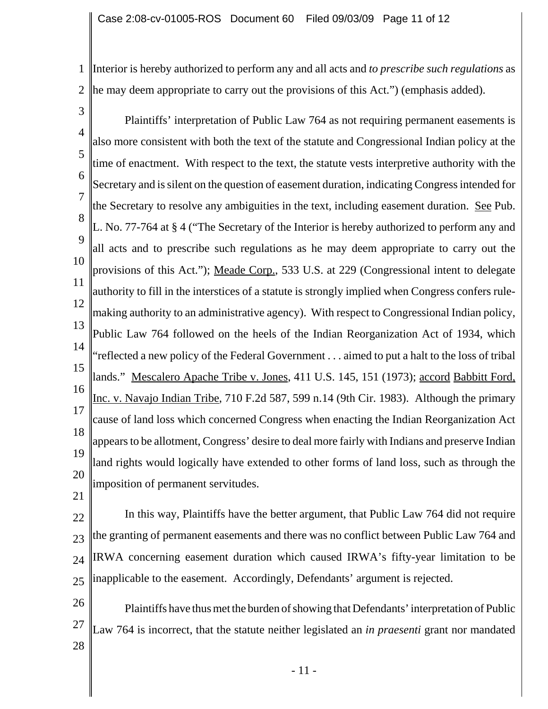1 Interior is hereby authorized to perform any and all acts and *to prescribe such regulations* as 2 he may deem appropriate to carry out the provisions of this Act.") (emphasis added).

3

4 5 6 7 8 9 10 11 12 13 14 15 16 17 18 19 20 Plaintiffs' interpretation of Public Law 764 as not requiring permanent easements is also more consistent with both the text of the statute and Congressional Indian policy at the time of enactment. With respect to the text, the statute vests interpretive authority with the Secretary and is silent on the question of easement duration, indicating Congress intended for the Secretary to resolve any ambiguities in the text, including easement duration. See Pub. L. No. 77-764 at § 4 ("The Secretary of the Interior is hereby authorized to perform any and all acts and to prescribe such regulations as he may deem appropriate to carry out the provisions of this Act."); <u>Meade Corp.</u>, 533 U.S. at 229 (Congressional intent to delegate authority to fill in the interstices of a statute is strongly implied when Congress confers rulemaking authority to an administrative agency). With respect to Congressional Indian policy, Public Law 764 followed on the heels of the Indian Reorganization Act of 1934, which "reflected a new policy of the Federal Government . . . aimed to put a halt to the loss of tribal lands." Mescalero Apache Tribe v. Jones, 411 U.S. 145, 151 (1973); accord Babbitt Ford, Inc. v. Navajo Indian Tribe, 710 F.2d 587, 599 n.14 (9th Cir. 1983). Although the primary cause of land loss which concerned Congress when enacting the Indian Reorganization Act appears to be allotment, Congress' desire to deal more fairly with Indians and preserve Indian land rights would logically have extended to other forms of land loss, such as through the imposition of permanent servitudes.

21

22  $23$ 24 25 In this way, Plaintiffs have the better argument, that Public Law 764 did not require the granting of permanent easements and there was no conflict between Public Law 764 and IRWA concerning easement duration which caused IRWA's fifty-year limitation to be inapplicable to the easement. Accordingly, Defendants' argument is rejected.

26 27 28 Plaintiffs have thus met the burden of showing that Defendants' interpretation of Public Law 764 is incorrect, that the statute neither legislated an *in praesenti* grant nor mandated